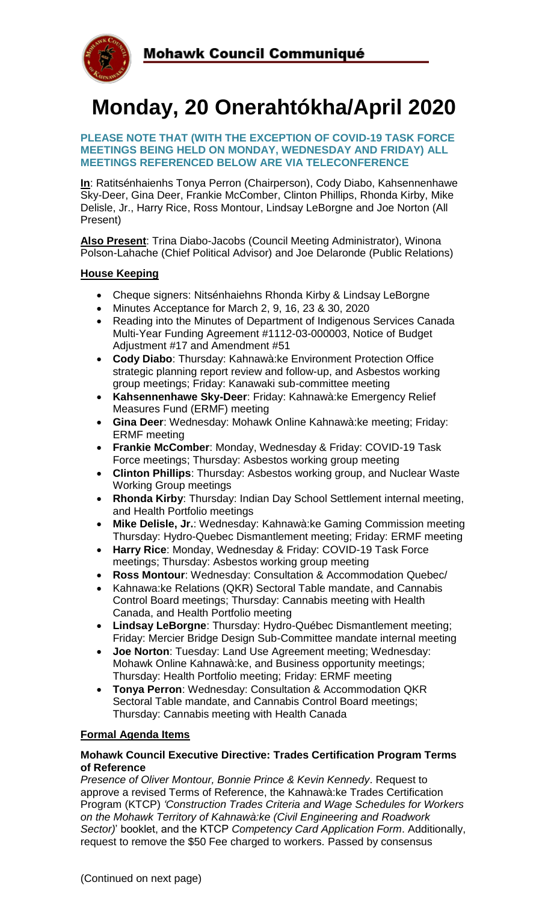

# **Monday, 20 Onerahtókha/April 2020**

#### **PLEASE NOTE THAT (WITH THE EXCEPTION OF COVID-19 TASK FORCE MEETINGS BEING HELD ON MONDAY, WEDNESDAY AND FRIDAY) ALL MEETINGS REFERENCED BELOW ARE VIA TELECONFERENCE**

**In**: Ratitsénhaienhs Tonya Perron (Chairperson), Cody Diabo, Kahsennenhawe Sky-Deer, Gina Deer, Frankie McComber, Clinton Phillips, Rhonda Kirby, Mike Delisle, Jr., Harry Rice, Ross Montour, Lindsay LeBorgne and Joe Norton (All Present)

**Also Present**: Trina Diabo-Jacobs (Council Meeting Administrator), Winona Polson-Lahache (Chief Political Advisor) and Joe Delaronde (Public Relations)

## **House Keeping**

- Cheque signers: Nitsénhaiehns Rhonda Kirby & Lindsay LeBorgne
- Minutes Acceptance for March 2, 9, 16, 23 & 30, 2020
- Reading into the Minutes of Department of Indigenous Services Canada Multi-Year Funding Agreement #1112-03-000003, Notice of Budget Adjustment #17 and Amendment #51
- **Cody Diabo**: Thursday: Kahnawà:ke Environment Protection Office strategic planning report review and follow-up, and Asbestos working group meetings; Friday: Kanawaki sub-committee meeting
- **Kahsennenhawe Sky-Deer**: Friday: Kahnawà:ke Emergency Relief Measures Fund (ERMF) meeting
- **Gina Deer**: Wednesday: Mohawk Online Kahnawà:ke meeting; Friday: ERMF meeting
- **Frankie McComber**: Monday, Wednesday & Friday: COVID-19 Task Force meetings; Thursday: Asbestos working group meeting
- **Clinton Phillips**: Thursday: Asbestos working group, and Nuclear Waste Working Group meetings
- **Rhonda Kirby**: Thursday: Indian Day School Settlement internal meeting, and Health Portfolio meetings
- **Mike Delisle, Jr.**: Wednesday: Kahnawà:ke Gaming Commission meeting Thursday: Hydro-Quebec Dismantlement meeting; Friday: ERMF meeting
- **Harry Rice**: Monday, Wednesday & Friday: COVID-19 Task Force meetings; Thursday: Asbestos working group meeting
- **Ross Montour**: Wednesday: Consultation & Accommodation Quebec/
- Kahnawa:ke Relations (QKR) Sectoral Table mandate, and Cannabis Control Board meetings; Thursday: Cannabis meeting with Health Canada, and Health Portfolio meeting
- **Lindsay LeBorgne**: Thursday: Hydro-Québec Dismantlement meeting; Friday: Mercier Bridge Design Sub-Committee mandate internal meeting
- **Joe Norton**: Tuesday: Land Use Agreement meeting; Wednesday: Mohawk Online Kahnawà:ke, and Business opportunity meetings; Thursday: Health Portfolio meeting; Friday: ERMF meeting
- **Tonya Perron**: Wednesday: Consultation & Accommodation QKR Sectoral Table mandate, and Cannabis Control Board meetings; Thursday: Cannabis meeting with Health Canada

### **Formal Agenda Items**

### **Mohawk Council Executive Directive: Trades Certification Program Terms of Reference**

*Presence of Oliver Montour, Bonnie Prince & Kevin Kennedy*. Request to approve a revised Terms of Reference, the Kahnawà:ke Trades Certification Program (KTCP) *'Construction Trades Criteria and Wage Schedules for Workers on the Mohawk Territory of Kahnawà:ke (Civil Engineering and Roadwork Sector)*' booklet, and the KTCP *Competency Card Application Form*. Additionally, request to remove the \$50 Fee charged to workers. Passed by consensus